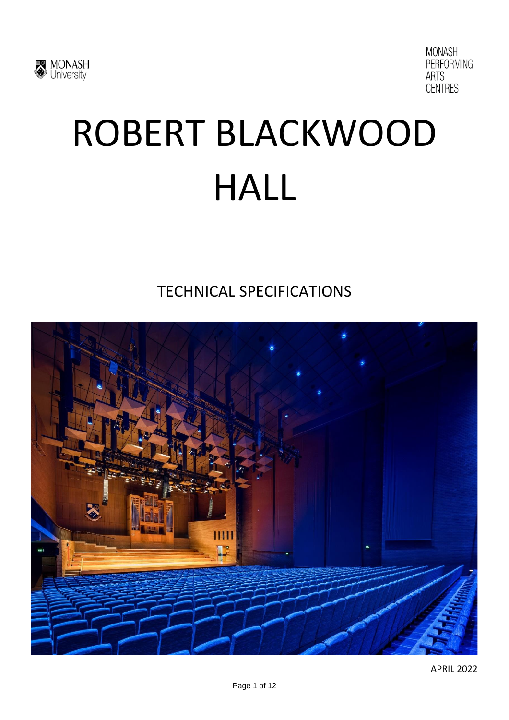



# ROBERT BLACKWOOD HALL

TECHNICAL SPECIFICATIONS

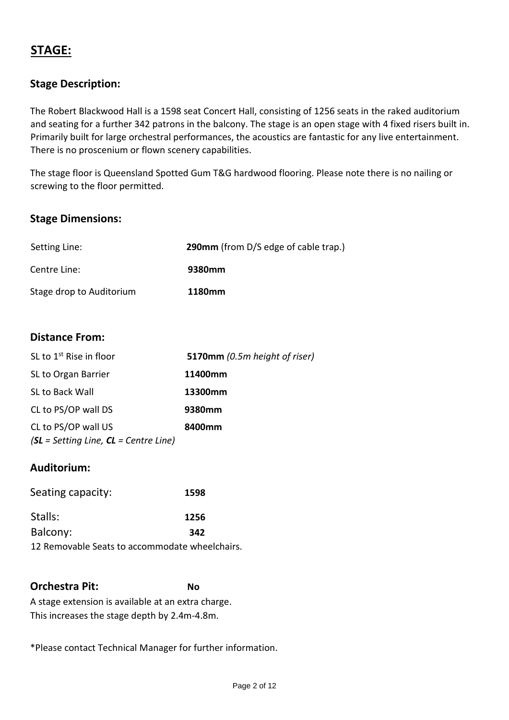# **STAGE:**

## **Stage Description:**

The Robert Blackwood Hall is a 1598 seat Concert Hall, consisting of 1256 seats in the raked auditorium and seating for a further 342 patrons in the balcony. The stage is an open stage with 4 fixed risers built in. Primarily built for large orchestral performances, the acoustics are fantastic for any live entertainment. There is no proscenium or flown scenery capabilities.

The stage floor is Queensland Spotted Gum T&G hardwood flooring. Please note there is no nailing or screwing to the floor permitted.

#### **Stage Dimensions:**

| Setting Line:            | <b>290mm</b> (from D/S edge of cable trap.) |
|--------------------------|---------------------------------------------|
| Centre Line:             | 9380mm                                      |
| Stage drop to Auditorium | 1180mm                                      |

#### **Distance From:**

| SL to 1 <sup>st</sup> Rise in floor                                          | <b>5170mm</b> (0.5m height of riser) |
|------------------------------------------------------------------------------|--------------------------------------|
| SL to Organ Barrier                                                          | 11400mm                              |
| <b>SL to Back Wall</b>                                                       | 13300mm                              |
| CL to PS/OP wall DS                                                          | 9380mm                               |
| CL to PS/OP wall US                                                          | 8400mm                               |
| $\mathsf{S}\mathsf{L}$ = Setting Line, $\mathsf{C}\mathsf{L}$ = Centre Line) |                                      |

#### **Auditorium:**

| Seating capacity:                              | 1598 |
|------------------------------------------------|------|
| Stalls:                                        | 1256 |
| Balcony:                                       | 342  |
| 12 Removable Seats to accommodate wheelchairs. |      |

**Orchestra Pit: No** A stage extension is available at an extra charge. This increases the stage depth by 2.4m-4.8m.

\*Please contact Technical Manager for further information.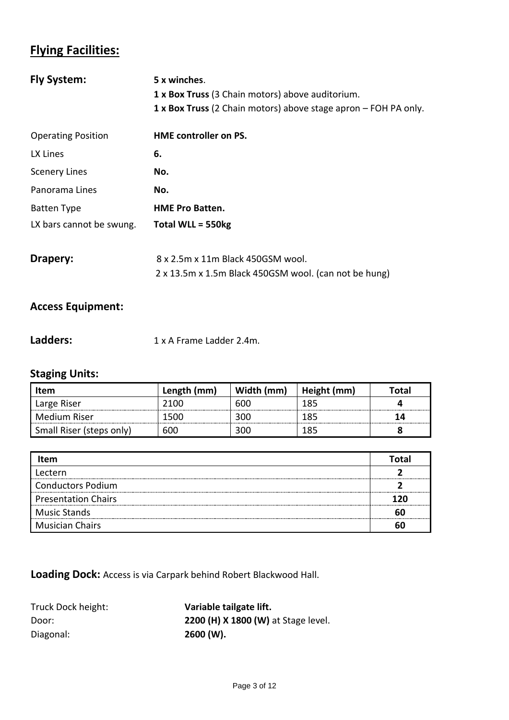# **Flying Facilities:**

| <b>Fly System:</b>        | 5 x winches.                                                    |  |  |
|---------------------------|-----------------------------------------------------------------|--|--|
|                           | 1 x Box Truss (3 Chain motors) above auditorium.                |  |  |
|                           | 1 x Box Truss (2 Chain motors) above stage apron – FOH PA only. |  |  |
| <b>Operating Position</b> | <b>HME</b> controller on PS.                                    |  |  |
| LX Lines                  | 6.                                                              |  |  |
| <b>Scenery Lines</b>      | No.                                                             |  |  |
| Panorama Lines            | No.                                                             |  |  |
| <b>Batten Type</b>        | <b>HME Pro Batten.</b>                                          |  |  |
| LX bars cannot be swung.  | Total WLL = 550kg                                               |  |  |
|                           |                                                                 |  |  |
| Drapery:                  | 8 x 2.5m x 11m Black 450GSM wool.                               |  |  |
|                           | 2 x 13.5m x 1.5m Black 450GSM wool. (can not be hung)           |  |  |

## **Access Equipment:**

| 1 x A Frame Ladder 2.4m. |
|--------------------------|
|                          |

# **Staging Units:**

| <b>Item</b>              | Length (mm) | Width (mm) | Height (mm) | Total |
|--------------------------|-------------|------------|-------------|-------|
| Large Riser              | ን1በበ        | 600        | 185         |       |
| Medium Riser             | 1500        | 300        | 185         |       |
| Small Riser (steps only) | 600         | 300        | 185         |       |

| <b>Item</b>                | Total |
|----------------------------|-------|
| Lectern                    |       |
| <b>Conductors Podium</b>   |       |
| <b>Presentation Chairs</b> | 120   |
| <b>Music Stands</b>        |       |
| <b>Musician Chairs</b>     |       |

**Loading Dock:** Access is via Carpark behind Robert Blackwood Hall.

| Truck Dock height: | Variable tailgate lift.             |
|--------------------|-------------------------------------|
| Door:              | 2200 (H) X 1800 (W) at Stage level. |
| Diagonal:          | $2600 (W)$ .                        |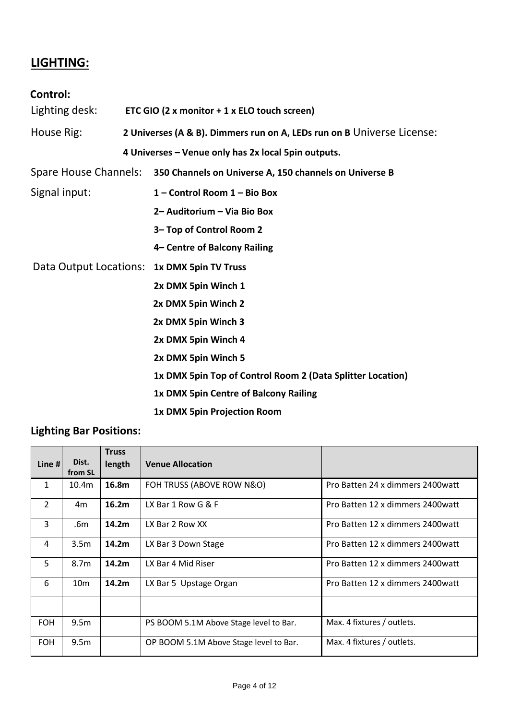# **LIGHTING:**

## **Control:**

| Lighting desk:        |  | ETC GIO (2 x monitor + 1 x ELO touch screen)                           |  |  |
|-----------------------|--|------------------------------------------------------------------------|--|--|
| House Rig:            |  | 2 Universes (A & B). Dimmers run on A, LEDs run on B Universe License: |  |  |
|                       |  | 4 Universes - Venue only has 2x local 5pin outputs.                    |  |  |
| Spare House Channels: |  | 350 Channels on Universe A, 150 channels on Universe B                 |  |  |
| Signal input:         |  | 1 - Control Room 1 - Bio Box                                           |  |  |
|                       |  | 2- Auditorium - Via Bio Box                                            |  |  |
|                       |  | 3- Top of Control Room 2                                               |  |  |
|                       |  | 4- Centre of Balcony Railing                                           |  |  |
|                       |  | Data Output Locations: 1x DMX 5pin TV Truss                            |  |  |
| 2x DMX 5pin Winch 1   |  |                                                                        |  |  |
|                       |  | 2x DMX 5pin Winch 2                                                    |  |  |
|                       |  | 2x DMX 5pin Winch 3                                                    |  |  |
|                       |  | 2x DMX 5pin Winch 4                                                    |  |  |
|                       |  | 2x DMX 5pin Winch 5                                                    |  |  |
|                       |  | 1x DMX 5pin Top of Control Room 2 (Data Splitter Location)             |  |  |
|                       |  | 1x DMX 5pin Centre of Balcony Railing                                  |  |  |
|                       |  | 1x DMX 5pin Projection Room                                            |  |  |

# **Lighting Bar Positions:**

|               |                  | <b>Truss</b>      |                                        |                                   |
|---------------|------------------|-------------------|----------------------------------------|-----------------------------------|
| Line #        | Dist.<br>from SL | length            | <b>Venue Allocation</b>                |                                   |
| $\mathbf{1}$  | 10.4m            | 16.8m             | FOH TRUSS (ABOVE ROW N&O)              | Pro Batten 24 x dimmers 2400 watt |
| $\mathcal{L}$ | 4m               | 16.2m             | LX Bar 1 Row G $&$ F                   | Pro Batten 12 x dimmers 2400 watt |
| 3             | .6m              | 14.2m             | LX Bar 2 Row XX                        | Pro Batten 12 x dimmers 2400 watt |
| 4             | 3.5 <sub>m</sub> | 14.2m             | LX Bar 3 Down Stage                    | Pro Batten 12 x dimmers 2400 watt |
| 5             | 8.7m             | 14.2m             | LX Bar 4 Mid Riser                     | Pro Batten 12 x dimmers 2400 watt |
| 6             | 10 <sub>m</sub>  | 14.2 <sub>m</sub> | LX Bar 5 Upstage Organ                 | Pro Batten 12 x dimmers 2400 watt |
|               |                  |                   |                                        |                                   |
| <b>FOH</b>    | 9.5 <sub>m</sub> |                   | PS BOOM 5.1M Above Stage level to Bar. | Max. 4 fixtures / outlets.        |
| <b>FOH</b>    | 9.5 <sub>m</sub> |                   | OP BOOM 5.1M Above Stage level to Bar. | Max. 4 fixtures / outlets.        |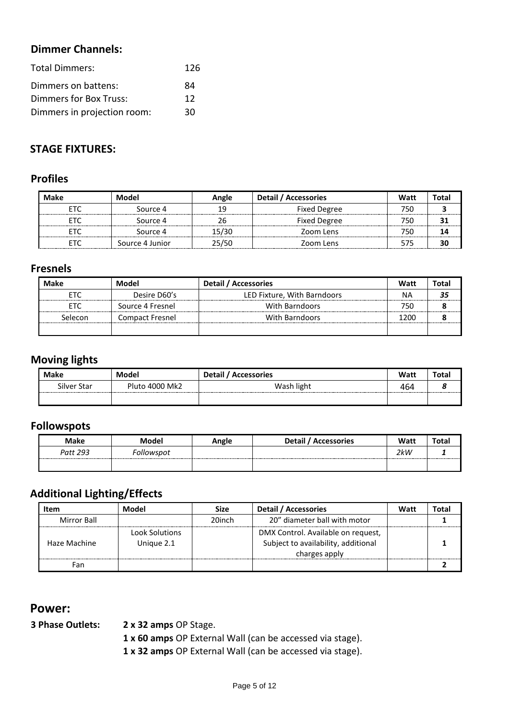## **Dimmer Channels:**

| <b>Total Dimmers:</b>       | 126 |
|-----------------------------|-----|
| Dimmers on battens:         | 84  |
| Dimmers for Box Truss:      | 12  |
| Dimmers in projection room: | 30  |

## **STAGE FIXTURES:**

## **Profiles**

| <b>Make</b><br>Model |                 | Angle | Detail / Accessories | Watt | Total |
|----------------------|-----------------|-------|----------------------|------|-------|
|                      | Source 4        | 19    | <b>Fixed Degree</b>  | 75C  |       |
|                      | Source 4        |       | <b>Fixed Degree</b>  | 75C  |       |
|                      | Source 4        | 15/30 | Zoom Lens            | 750  |       |
|                      | Source 4 Junior | 25/50 | Zoom Lens            |      |       |

#### **Fresnels**

| Make    | Model                  | Detail / Accessories        | Watt | Total |
|---------|------------------------|-----------------------------|------|-------|
|         | Desire D60's           | LED Fixture, With Barndoors | ΝA   |       |
|         | Source 4 Fresnel       | With Barndoors              |      |       |
| Selecon | <b>Compact Fresnel</b> | With Barndoors              | 1200 |       |
|         |                        |                             |      |       |

## **Moving lights**

| <b>Make</b> | Model          | <b>Detail</b><br><b>Accessories</b> | Watt | Total |
|-------------|----------------|-------------------------------------|------|-------|
| Silver Star | Pluto 4000 Mk2 | Wash light                          | 464  | o     |
|             |                |                                     |      |       |

#### **Followspots**

| Maka     |          | nale<br>- | Detail<br><b>Accessories</b> | Watt | "otal |
|----------|----------|-----------|------------------------------|------|-------|
| Patt 293 | 'lowspoi |           |                              | 2kW  |       |
|          |          |           |                              |      |       |

# **Additional Lighting/Effects**

| Item         | Model                               | <b>Size</b> | <b>Detail / Accessories</b>                                                                | Watt | Total |
|--------------|-------------------------------------|-------------|--------------------------------------------------------------------------------------------|------|-------|
| Mirror Ball  |                                     | 20inch      | 20" diameter ball with motor                                                               |      |       |
| Haze Machine | <b>Look Solutions</b><br>Unique 2.1 |             | DMX Control. Available on request,<br>Subject to availability, additional<br>charges apply |      |       |
| Fan.         |                                     |             |                                                                                            |      |       |

## **Power:**

**3 Phase Outlets: 2 x 32 amps** OP Stage.

**1 x 60 amps** OP External Wall (can be accessed via stage).

**1 x 32 amps** OP External Wall (can be accessed via stage).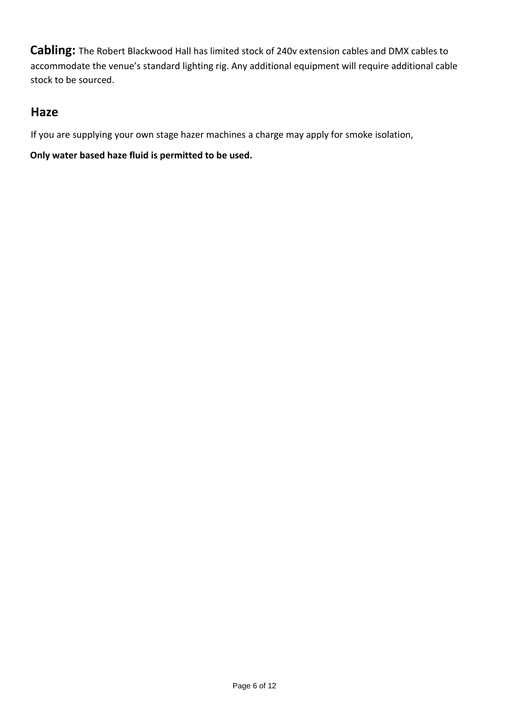**Cabling:** The Robert Blackwood Hall has limited stock of 240v extension cables and DMX cables to accommodate the venue's standard lighting rig. Any additional equipment will require additional cable stock to be sourced.

## **Haze**

If you are supplying your own stage hazer machines a charge may apply for smoke isolation,

**Only water based haze fluid is permitted to be used.**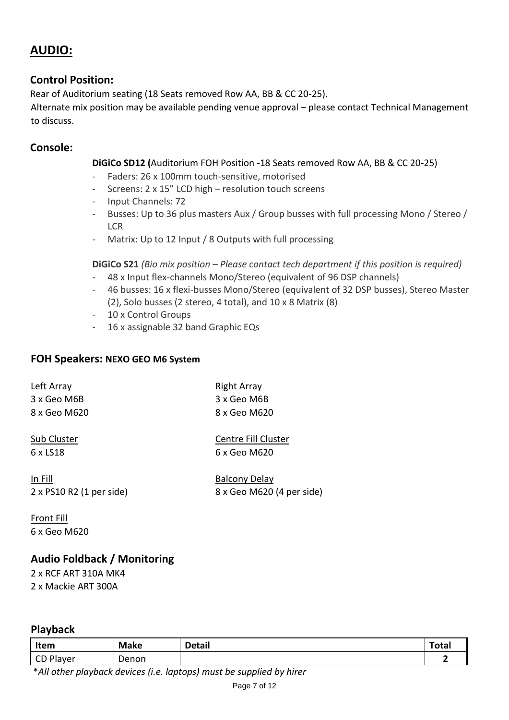# **AUDIO:**

#### **Control Position:**

Rear of Auditorium seating (18 Seats removed Row AA, BB & CC 20-25).

Alternate mix position may be available pending venue approval – please contact Technical Management to discuss.

#### **Console:**

#### **DiGiCo SD12 (**Auditorium FOH Position **-**18 Seats removed Row AA, BB & CC 20-25)

- Faders: 26 x 100mm touch-sensitive, motorised
- Screens: 2 x 15" LCD high resolution touch screens
- Input Channels: 72
- Busses: Up to 36 plus masters Aux / Group busses with full processing Mono / Stereo / LCR
- Matrix: Up to 12 Input / 8 Outputs with full processing

**DiGiCo S21** *(Bio mix position – Please contact tech department if this position is required)*

- 48 x Input flex-channels Mono/Stereo (equivalent of 96 DSP channels)
- 46 busses: 16 x flexi-busses Mono/Stereo (equivalent of 32 DSP busses), Stereo Master (2), Solo busses (2 stereo, 4 total), and 10 x 8 Matrix (8)
- 10 x Control Groups
- 16 x assignable 32 band Graphic EQs

#### **FOH Speakers: NEXO GEO M6 System**

| Left Array   | Right Array  |
|--------------|--------------|
| 3 x Geo M6B  | 3 x Geo M6B  |
| 8 x Geo M620 | 8 x Geo M620 |

6 x LS18 6 x Geo M620

Sub Cluster Centre Fill Cluster

In Fill Balcony Delay

2 x PS10 R2 (1 per side) 8 x Geo M620 (4 per side)

Front Fill 6 x Geo M620

#### **Audio Foldback / Monitoring**

2 x RCF ART 310A MK4 2 x Mackie ART 300A

#### **Playback**

| Item      | Make  | <b>Detail</b> | <b>Total</b> |
|-----------|-------|---------------|--------------|
| CD Player | Denon |               |              |

\**All other playback devices (i.e. laptops) must be supplied by hirer*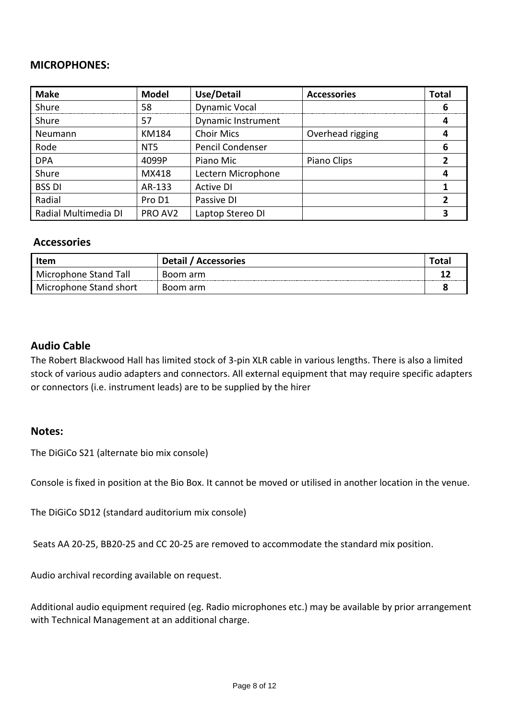#### **MICROPHONES:**

| <b>Make</b>          | <b>Model</b>    | <b>Use/Detail</b>    | <b>Accessories</b> | <b>Total</b> |
|----------------------|-----------------|----------------------|--------------------|--------------|
| Shure                | 58              | <b>Dynamic Vocal</b> |                    | h            |
| Shure                | 57              | Dynamic Instrument   |                    | 4            |
| Neumann              | KM184           | <b>Choir Mics</b>    | Overhead rigging   |              |
| Rode                 | NT <sub>5</sub> | Pencil Condenser     |                    | 6            |
| <b>DPA</b>           | 4099P           | Piano Mic            | Piano Clips        |              |
| Shure                | MX418           | Lectern Microphone   |                    |              |
| <b>BSS DI</b>        | AR-133          | <b>Active DI</b>     |                    |              |
| Radial               | Pro D1          | Passive DI           |                    | 2            |
| Radial Multimedia DI | PRO AV2         | Laptop Stereo DI     |                    |              |

#### **Accessories**

| <b>Item</b>            | <b>Detail</b><br>' Accessories | Tota <sub>l</sub> |
|------------------------|--------------------------------|-------------------|
| Microphone Stand Tall  | Boom arm                       | . .               |
| Microphone Stand short | Boom arm                       |                   |

#### **Audio Cable**

The Robert Blackwood Hall has limited stock of 3-pin XLR cable in various lengths. There is also a limited stock of various audio adapters and connectors. All external equipment that may require specific adapters or connectors (i.e. instrument leads) are to be supplied by the hirer

#### **Notes:**

The DiGiCo S21 (alternate bio mix console)

Console is fixed in position at the Bio Box. It cannot be moved or utilised in another location in the venue.

The DiGiCo SD12 (standard auditorium mix console)

Seats AA 20-25, BB20-25 and CC 20-25 are removed to accommodate the standard mix position.

Audio archival recording available on request.

Additional audio equipment required (eg. Radio microphones etc.) may be available by prior arrangement with Technical Management at an additional charge.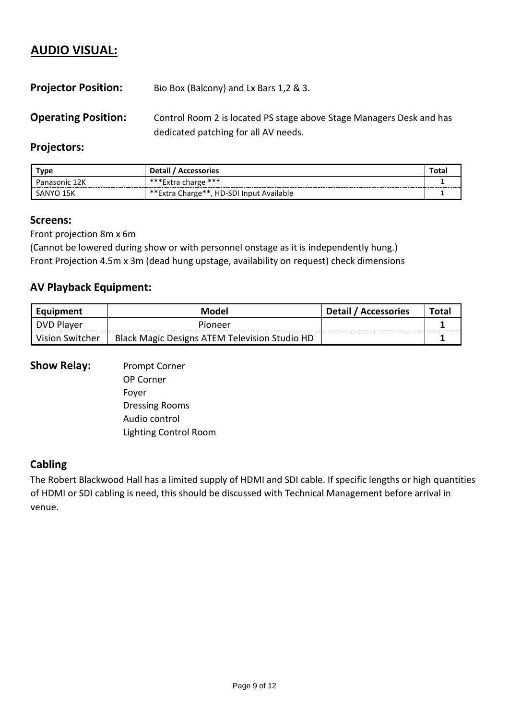# **AUDIO VISUAL:**

| <b>Projector Position:</b> | Bio Box (Balcony) and Lx Bars 1,2 & 3.                                                                       |
|----------------------------|--------------------------------------------------------------------------------------------------------------|
| <b>Operating Position:</b> | Control Room 2 is located PS stage above Stage Managers Desk and has<br>dedicated patching for all AV needs. |

#### **Projectors:**

| Type          | <b>Detail</b><br><b>Accessories</b>      | Totai |
|---------------|------------------------------------------|-------|
| Panasonic 12K | ***Extra charge ***                      |       |
| SANYO<br>エコド  | **Extra Charge**, HD-SDI Input Available |       |

#### **Screens:**

Front projection 8m x 6m

(Cannot be lowered during show or with personnel onstage as it is independently hung.) Front Projection 4.5m x 3m (dead hung upstage, availability on request) check dimensions

## **AV Playback Equipment:**

| Equipment       | Model                                         | <b>Detail / Accessories</b> | Total |
|-----------------|-----------------------------------------------|-----------------------------|-------|
| DVD Player      | Pioneer                                       |                             |       |
| Vision Switcher | Black Magic Designs ATEM Television Studio HD |                             |       |

#### **Show Relay:** Prompt Corner

OP Corner Foyer Dressing Rooms Audio control Lighting Control Room

#### **Cabling**

The Robert Blackwood Hall has a limited supply of HDMI and SDI cable. If specific lengths or high quantities of HDMI or SDI cabling is need, this should be discussed with Technical Management before arrival in venue.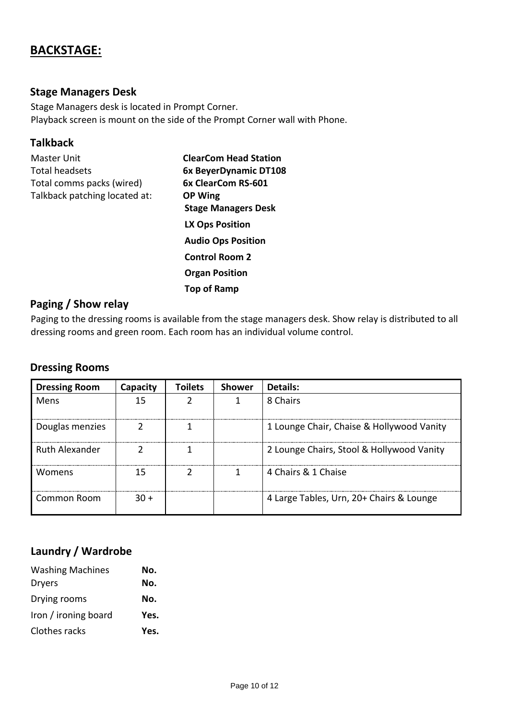# **BACKSTAGE:**

## **Stage Managers Desk**

Stage Managers desk is located in Prompt Corner. Playback screen is mount on the side of the Prompt Corner wall with Phone.

#### **Talkback**

| <b>ClearCom Head Station</b> |
|------------------------------|
| 6x BeyerDynamic DT108        |
| 6x ClearCom RS-601           |
| <b>OP Wing</b>               |
| <b>Stage Managers Desk</b>   |
| <b>LX Ops Position</b>       |
| <b>Audio Ops Position</b>    |
| <b>Control Room 2</b>        |
| <b>Organ Position</b>        |
| Top of Ramp                  |
|                              |

### **Paging / Show relay**

Paging to the dressing rooms is available from the stage managers desk. Show relay is distributed to all dressing rooms and green room. Each room has an individual volume control.

#### **Dressing Rooms**

| <b>Dressing Room</b>  | Capacity | <b>Toilets</b> | <b>Shower</b> | Details:                                  |
|-----------------------|----------|----------------|---------------|-------------------------------------------|
| Mens                  | 15       |                |               | 8 Chairs                                  |
| Douglas menzies       |          |                |               | 1 Lounge Chair, Chaise & Hollywood Vanity |
| <b>Ruth Alexander</b> |          |                |               | 2 Lounge Chairs, Stool & Hollywood Vanity |
| <b>Womens</b>         | 15       |                |               | 4 Chairs & 1 Chaise                       |
| Common Room           | 30 +     |                |               | 4 Large Tables, Urn, 20+ Chairs & Lounge  |

## **Laundry / Wardrobe**

| <b>Washing Machines</b> | No.  |
|-------------------------|------|
| <b>Dryers</b>           | No.  |
| Drying rooms            | No.  |
| Iron / ironing board    | Yes. |
| Clothes racks           | Yes. |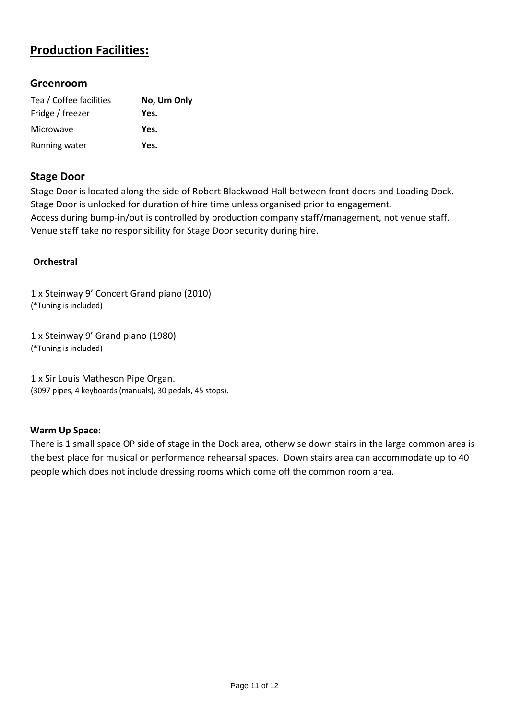# **Production Facilities:**

#### **Greenroom**

| Tea / Coffee facilities | No, Urn Only |
|-------------------------|--------------|
| Fridge / freezer        | Yes.         |
| <b>Microwave</b>        | Yes.         |
| Running water           | Yes.         |

#### **Stage Door**

Stage Door is located along the side of Robert Blackwood Hall between front doors and Loading Dock. Stage Door is unlocked for duration of hire time unless organised prior to engagement. Access during bump-in/out is controlled by production company staff/management, not venue staff. Venue staff take no responsibility for Stage Door security during hire.

#### **Orchestral**

1 x Steinway 9' Concert Grand piano (2010) (\*Tuning is included)

1 x Steinway 9' Grand piano (1980) (\*Tuning is included)

1 x Sir Louis Matheson Pipe Organ. (3097 pipes, 4 keyboards (manuals), 30 pedals, 45 stops).

#### **Warm Up Space:**

There is 1 small space OP side of stage in the Dock area, otherwise down stairs in the large common area is the best place for musical or performance rehearsal spaces. Down stairs area can accommodate up to 40 people which does not include dressing rooms which come off the common room area.